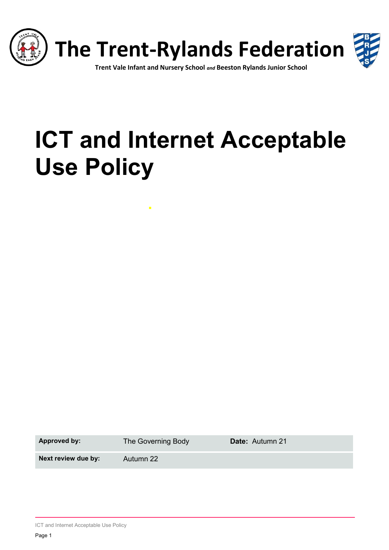

# **ICT and Internet Acceptable Use Policy**

**Approved by:** The Governing Body **Date:** Autumn 21

**Next review due by:** Autumn 22

ICT and Internet Acceptable Use Policy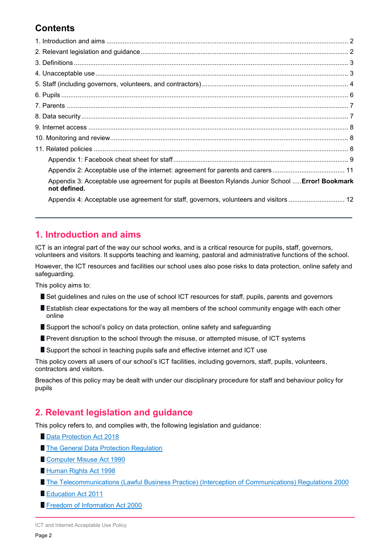# **Contents**

| Appendix 3: Acceptable use agreement for pupils at Beeston Rylands Junior School  Error! Bookmark<br>not defined. |  |
|-------------------------------------------------------------------------------------------------------------------|--|
| Appendix 4: Acceptable use agreement for staff, governors, volunteers and visitors  12                            |  |

# <span id="page-1-0"></span>**1. Introduction and aims**

ICT is an integral part of the way our school works, and is a critical resource for pupils, staff, governors, volunteers and visitors. It supports teaching and learning, pastoral and administrative functions of the school.

However, the ICT resources and facilities our school uses also pose risks to data protection, online safety and safeguarding.

This policy aims to:

- Set guidelines and rules on the use of school ICT resources for staff, pupils, parents and governors
- **Establish clear expectations for the way all members of the school community engage with each other** online
- Support the school's policy on data protection, online safety and safeguarding
- Prevent disruption to the school through the misuse, or attempted misuse, of ICT systems
- **B** Support the school in teaching pupils safe and effective internet and ICT use

This policy covers all users of our school's ICT facilities, including governors, staff, pupils, volunteers, contractors and visitors.

Breaches of this policy may be dealt with under our disciplinary procedure for staff and behaviour policy for pupils

# <span id="page-1-1"></span>**2. Relevant legislation and guidance**

This policy refers to, and complies with, the following legislation and guidance:

- **[Data Protection Act 2018](http://www.legislation.gov.uk/ukpga/2018/12/contents/enacted)**
- **[The General Data Protection Regulation](https://eur-lex.europa.eu/legal-content/EN/TXT/HTML/?uri=CELEX:32016R0679)**
- [Computer Misuse Act 1990](https://www.legislation.gov.uk/ukpga/1990/18/contents)
- [Human Rights Act 1998](https://www.legislation.gov.uk/ukpga/1998/42/contents)
- **[The Telecommunications \(Lawful Business Practice\) \(Interception of Communications\) Regulations 2000](https://www.legislation.gov.uk/uksi/2000/2699/regulation/3/made)**
- **[Education Act 2011](http://www.legislation.gov.uk/ukpga/2011/21/section/2/enacted)**
- **[Freedom of Information Act 2000](https://www.legislation.gov.uk/ukpga/2000/36/contents)**

ICT and Internet Acceptable Use Policy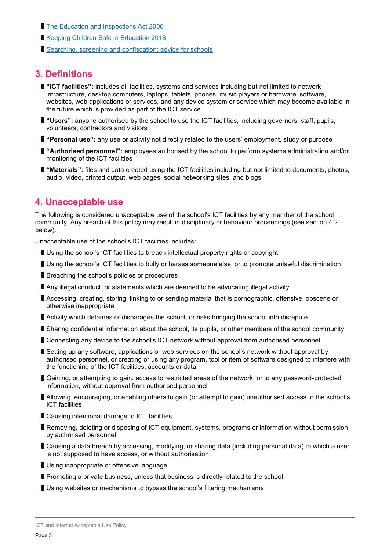- [The Education and Inspections Act 2006](https://www.legislation.gov.uk/ukpga/2006/40/part/7/chapter/1)
- **[Keeping Children Safe in Education 2018](https://www.gov.uk/government/publications/keeping-children-safe-in-education--2)**
- [Searching, screening and confiscation: advice for schools](https://www.gov.uk/government/publications/searching-screening-and-confiscation)

## <span id="page-2-0"></span>**3. Definitions**

- **"ICT facilities":** includes all facilities, systems and services including but not limited to network infrastructure, desktop computers, laptops, tablets, phones, music players or hardware, software, websites, web applications or services, and any device system or service which may become available in the future which is provided as part of the ICT service
- **"Users":** anyone authorised by the school to use the ICT facilities, including governors, staff, pupils, volunteers, contractors and visitors
- **"Personal use":** any use or activity not directly related to the users' employment, study or purpose
- **"Authorised personnel":** employees authorised by the school to perform systems administration and/or monitoring of the ICT facilities
- **"Materials":** files and data created using the ICT facilities including but not limited to documents, photos, audio, video, printed output, web pages, social networking sites, and blogs

## <span id="page-2-1"></span>**4. Unacceptable use**

The following is considered unacceptable use of the school's ICT facilities by any member of the school community. Any breach of this policy may result in disciplinary or behaviour proceedings (see section 4.2 below).

Unacceptable use of the school's ICT facilities includes:

- **Using the school's ICT facilities to breach intellectual property rights or copyright**
- **Using the school's ICT facilities to bully or harass someone else, or to promote unlawful discrimination**
- **B** Breaching the school's policies or procedures
- **Any illegal conduct, or statements which are deemed to be advocating illegal activity**
- Accessing, creating, storing, linking to or sending material that is pornographic, offensive, obscene or otherwise inappropriate
- **Activity which defames or disparages the school, or risks bringing the school into disrepute**
- **B** Sharing confidential information about the school, its pupils, or other members of the school community
- **E** Connecting any device to the school's ICT network without approval from authorised personnel
- **Setting up any software, applications or web services on the school's network without approval by** authorised personnel, or creating or using any program, tool or item of software designed to interfere with the functioning of the ICT facilities, accounts or data
- **B** Gaining, or attempting to gain, access to restricted areas of the network, or to any password-protected information, without approval from authorised personnel
- **Allowing, encouraging, or enabling others to gain (or attempt to gain) unauthorised access to the school's** ICT facilities
- **Causing intentional damage to ICT facilities**
- **Removing, deleting or disposing of ICT equipment, systems, programs or information without permission** by authorised personnel
- Causing a data breach by accessing, modifying, or sharing data (including personal data) to which a user is not supposed to have access, or without authorisation
- **Using inappropriate or offensive language**
- **Promoting a private business, unless that business is directly related to the school**
- Using websites or mechanisms to bypass the school's filtering mechanisms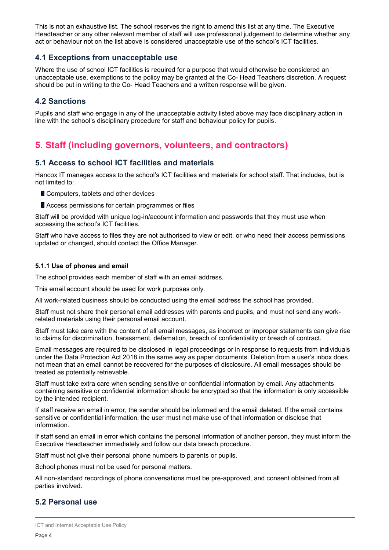This is not an exhaustive list. The school reserves the right to amend this list at any time. The Executive Headteacher or any other relevant member of staff will use professional judgement to determine whether any act or behaviour not on the list above is considered unacceptable use of the school's ICT facilities.

#### **4.1 Exceptions from unacceptable use**

Where the use of school ICT facilities is required for a purpose that would otherwise be considered an unacceptable use, exemptions to the policy may be granted at the Co- Head Teachers discretion. A request should be put in writing to the Co- Head Teachers and a written response will be given.

#### **4.2 Sanctions**

Pupils and staff who engage in any of the unacceptable activity listed above may face disciplinary action in line with the school's disciplinary procedure for staff and behaviour policy for pupils.

# <span id="page-3-0"></span>**5. Staff (including governors, volunteers, and contractors)**

#### **5.1 Access to school ICT facilities and materials**

Hancox IT manages access to the school's ICT facilities and materials for school staff. That includes, but is not limited to:

- Computers, tablets and other devices
- **Access permissions for certain programmes or files**

Staff will be provided with unique log-in/account information and passwords that they must use when accessing the school's ICT facilities.

Staff who have access to files they are not authorised to view or edit, or who need their access permissions updated or changed, should contact the Office Manager.

#### **5.1.1 Use of phones and email**

The school provides each member of staff with an email address.

This email account should be used for work purposes only.

All work-related business should be conducted using the email address the school has provided.

Staff must not share their personal email addresses with parents and pupils, and must not send any workrelated materials using their personal email account.

Staff must take care with the content of all email messages, as incorrect or improper statements can give rise to claims for discrimination, harassment, defamation, breach of confidentiality or breach of contract.

Email messages are required to be disclosed in legal proceedings or in response to requests from individuals under the Data Protection Act 2018 in the same way as paper documents. Deletion from a user's inbox does not mean that an email cannot be recovered for the purposes of disclosure. All email messages should be treated as potentially retrievable.

Staff must take extra care when sending sensitive or confidential information by email. Any attachments containing sensitive or confidential information should be encrypted so that the information is only accessible by the intended recipient.

If staff receive an email in error, the sender should be informed and the email deleted. If the email contains sensitive or confidential information, the user must not make use of that information or disclose that information.

If staff send an email in error which contains the personal information of another person, they must inform the Executive Headteacher immediately and follow our data breach procedure.

Staff must not give their personal phone numbers to parents or pupils.

School phones must not be used for personal matters.

All non-standard recordings of phone conversations must be pre-approved, and consent obtained from all parties involved.

#### **5.2 Personal use**

ICT and Internet Acceptable Use Policy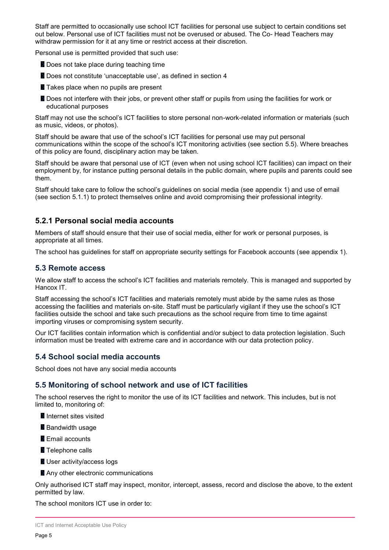Staff are permitted to occasionally use school ICT facilities for personal use subject to certain conditions set out below. Personal use of ICT facilities must not be overused or abused. The Co- Head Teachers may withdraw permission for it at any time or restrict access at their discretion.

Personal use is permitted provided that such use:

- **Does not take place during teaching time**
- Does not constitute 'unacceptable use', as defined in section 4
- **Takes place when no pupils are present**
- **Does not interfere with their jobs, or prevent other staff or pupils from using the facilities for work or** educational purposes

Staff may not use the school's ICT facilities to store personal non-work-related information or materials (such as music, videos, or photos).

Staff should be aware that use of the school's ICT facilities for personal use may put personal communications within the scope of the school's ICT monitoring activities (see section 5.5). Where breaches of this policy are found, disciplinary action may be taken.

Staff should be aware that personal use of ICT (even when not using school ICT facilities) can impact on their employment by, for instance putting personal details in the public domain, where pupils and parents could see them.

Staff should take care to follow the school's guidelines on social media (see appendix 1) and use of email (see section 5.1.1) to protect themselves online and avoid compromising their professional integrity.

## **5.2.1 Personal social media accounts**

Members of staff should ensure that their use of social media, either for work or personal purposes, is appropriate at all times.

The school has guidelines for staff on appropriate security settings for Facebook accounts (see appendix 1).

#### **5.3 Remote access**

We allow staff to access the school's ICT facilities and materials remotely. This is managed and supported by Hancox IT.

Staff accessing the school's ICT facilities and materials remotely must abide by the same rules as those accessing the facilities and materials on-site. Staff must be particularly vigilant if they use the school's ICT facilities outside the school and take such precautions as the school require from time to time against importing viruses or compromising system security.

Our ICT facilities contain information which is confidential and/or subject to data protection legislation. Such information must be treated with extreme care and in accordance with our data protection policy.

#### **5.4 School social media accounts**

School does not have any social media accounts

#### **5.5 Monitoring of school network and use of ICT facilities**

The school reserves the right to monitor the use of its ICT facilities and network. This includes, but is not limited to, monitoring of:

- **Internet sites visited**
- **Bandwidth usage**
- **Email accounts**
- **Telephone calls**
- **User activity/access logs**
- **Any other electronic communications**

Only authorised ICT staff may inspect, monitor, intercept, assess, record and disclose the above, to the extent permitted by law.

The school monitors ICT use in order to: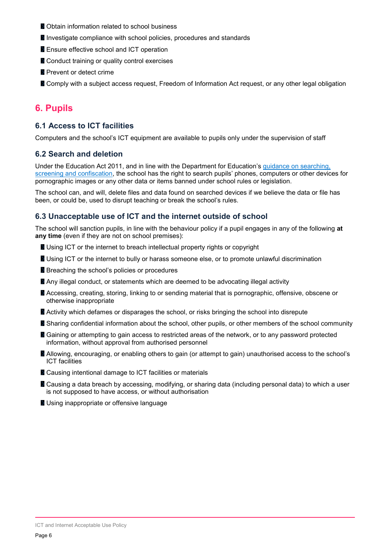- **Obtain information related to school business**
- Investigate compliance with school policies, procedures and standards
- **Ensure effective school and ICT operation**
- Conduct training or quality control exercises
- **Prevent or detect crime**
- **Comply with a subject access request, Freedom of Information Act request, or any other legal obligation**

# <span id="page-5-0"></span>**6. Pupils**

#### **6.1 Access to ICT facilities**

Computers and the school's ICT equipment are available to pupils only under the supervision of staff

#### **6.2 Search and deletion**

Under the Education Act 2011, and in line with the Department for Education's [guidance on searching,](https://www.gov.uk/government/publications/searching-screening-and-confiscation)  [screening and confiscation](https://www.gov.uk/government/publications/searching-screening-and-confiscation), the school has the right to search pupils' phones, computers or other devices for pornographic images or any other data or items banned under school rules or legislation.

The school can, and will, delete files and data found on searched devices if we believe the data or file has been, or could be, used to disrupt teaching or break the school's rules.

#### **6.3 Unacceptable use of ICT and the internet outside of school**

The school will sanction pupils, in line with the behaviour policy if a pupil engages in any of the following **at any time** (even if they are not on school premises):

- Using ICT or the internet to breach intellectual property rights or copyright
- **Using ICT or the internet to bully or harass someone else, or to promote unlawful discrimination**
- **B** Breaching the school's policies or procedures
- **Any illegal conduct, or statements which are deemed to be advocating illegal activity**
- Accessing, creating, storing, linking to or sending material that is pornographic, offensive, obscene or otherwise inappropriate
- **Activity which defames or disparages the school, or risks bringing the school into disrepute**
- **B** Sharing confidential information about the school, other pupils, or other members of the school community
- **Gaining or attempting to gain access to restricted areas of the network, or to any password protected** information, without approval from authorised personnel
- **Allowing, encouraging, or enabling others to gain (or attempt to gain) unauthorised access to the school's** ICT facilities
- **Causing intentional damage to ICT facilities or materials**
- Causing a data breach by accessing, modifying, or sharing data (including personal data) to which a user is not supposed to have access, or without authorisation
- <span id="page-5-1"></span>Using inappropriate or offensive language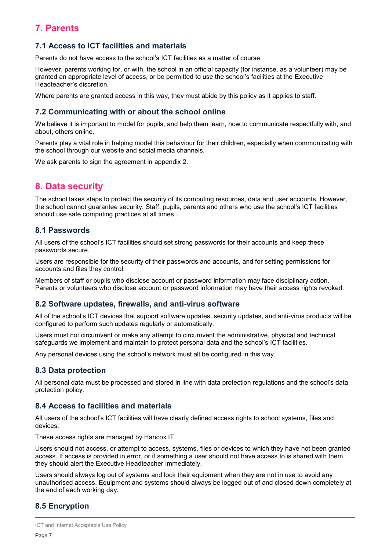# **7. Parents**

## **7.1 Access to ICT facilities and materials**

Parents do not have access to the school's ICT facilities as a matter of course.

However, parents working for, or with, the school in an official capacity (for instance, as a volunteer) may be granted an appropriate level of access, or be permitted to use the school's facilities at the Executive Headteacher's discretion.

Where parents are granted access in this way, they must abide by this policy as it applies to staff.

#### **7.2 Communicating with or about the school online**

We believe it is important to model for pupils, and help them learn, how to communicate respectfully with, and about, others online.

Parents play a vital role in helping model this behaviour for their children, especially when communicating with the school through our website and social media channels.

We ask parents to sign the agreement in appendix 2.

# <span id="page-6-0"></span>**8. Data security**

The school takes steps to protect the security of its computing resources, data and user accounts. However, the school cannot guarantee security. Staff, pupils, parents and others who use the school's ICT facilities should use safe computing practices at all times.

#### **8.1 Passwords**

All users of the school's ICT facilities should set strong passwords for their accounts and keep these passwords secure.

Users are responsible for the security of their passwords and accounts, and for setting permissions for accounts and files they control.

Members of staff or pupils who disclose account or password information may face disciplinary action. Parents or volunteers who disclose account or password information may have their access rights revoked.

#### **8.2 Software updates, firewalls, and anti-virus software**

All of the school's ICT devices that support software updates, security updates, and anti-virus products will be configured to perform such updates regularly or automatically.

Users must not circumvent or make any attempt to circumvent the administrative, physical and technical safeguards we implement and maintain to protect personal data and the school's ICT facilities.

Any personal devices using the school's network must all be configured in this way.

#### **8.3 Data protection**

All personal data must be processed and stored in line with data protection regulations and the school's data protection policy.

#### **8.4 Access to facilities and materials**

All users of the school's ICT facilities will have clearly defined access rights to school systems, files and devices.

These access rights are managed by Hancox IT.

Users should not access, or attempt to access, systems, files or devices to which they have not been granted access. If access is provided in error, or if something a user should not have access to is shared with them, they should alert the Executive Headteacher immediately.

Users should always log out of systems and lock their equipment when they are not in use to avoid any unauthorised access. Equipment and systems should always be logged out of and closed down completely at the end of each working day.

# **8.5 Encryption**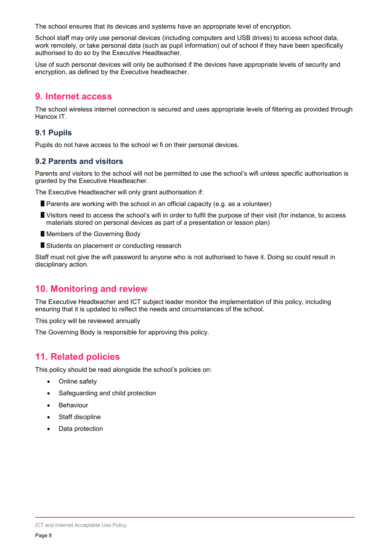The school ensures that its devices and systems have an appropriate level of encryption.

School staff may only use personal devices (including computers and USB drives) to access school data, work remotely, or take personal data (such as pupil information) out of school if they have been specifically authorised to do so by the Executive Headteacher.

Use of such personal devices will only be authorised if the devices have appropriate levels of security and encryption, as defined by the Executive headteacher.

# <span id="page-7-0"></span>**9. Internet access**

The school wireless internet connection is secured and uses appropriate levels of filtering as provided through Hancox IT.

# **9.1 Pupils**

Pupils do not have access to the school wi fi on their personal devices.

## **9.2 Parents and visitors**

Parents and visitors to the school will not be permitted to use the school's wifi unless specific authorisation is granted by the Executive Headteacher.

The Executive Headteacher will only grant authorisation if:

- **Parents are working with the school in an official capacity (e.g. as a volunteer)**
- **N** Visitors need to access the school's wifi in order to fulfil the purpose of their visit (for instance, to access materials stored on personal devices as part of a presentation or lesson plan)
- **Members of the Governing Body**
- Students on placement or conducting research

Staff must not give the wifi password to anyone who is not authorised to have it. Doing so could result in disciplinary action.

# <span id="page-7-1"></span>**10. Monitoring and review**

The Executive Headteacher and ICT subject leader monitor the implementation of this policy, including ensuring that it is updated to reflect the needs and circumstances of the school.

This policy will be reviewed annually

The Governing Body is responsible for approving this policy.

# <span id="page-7-2"></span>**11. Related policies**

This policy should be read alongside the school's policies on:

- Online safety
- Safeguarding and child protection
- Behaviour
- Staff discipline
- Data protection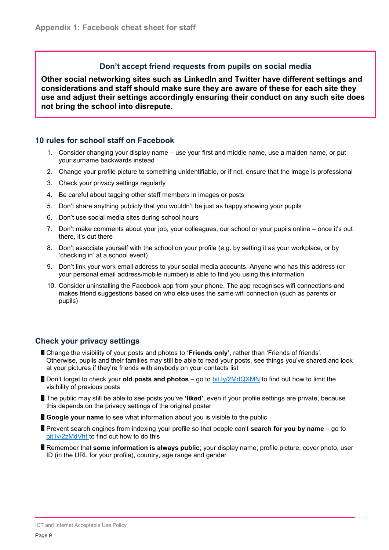#### **Don't accept friend requests from pupils on social media**

<span id="page-8-0"></span>**Other social networking sites such as LinkedIn and Twitter have different settings and considerations and staff should make sure they are aware of these for each site they use and adjust their settings accordingly ensuring their conduct on any such site does not bring the school into disrepute.**

#### **10 rules for school staff on Facebook**

- 1. Consider changing your display name use your first and middle name, use a maiden name, or put your surname backwards instead
- 2. Change your profile picture to something unidentifiable, or if not, ensure that the image is professional
- 3. Check your privacy settings regularly
- 4. Be careful about tagging other staff members in images or posts
- 5. Don't share anything publicly that you wouldn't be just as happy showing your pupils
- 6. Don't use social media sites during school hours
- 7. Don't make comments about your job, your colleagues, our school or your pupils online once it's out there, it's out there
- 8. Don't associate yourself with the school on your profile (e.g. by setting it as your workplace, or by 'checking in' at a school event)
- 9. Don't link your work email address to your social media accounts. Anyone who has this address (or your personal email address/mobile number) is able to find you using this information
- 10. Consider uninstalling the Facebook app from your phone. The app recognises wifi connections and makes friend suggestions based on who else uses the same wifi connection (such as parents or pupils)

## **Check your privacy settings**

- Change the visibility of your posts and photos to **'Friends only'**, rather than 'Friends of friends'. Otherwise, pupils and their families may still be able to read your posts, see things you've shared and look at your pictures if they're friends with anybody on your contacts list
- **Don't forget to check your old posts and photos** go to [bit.ly/2MdQXMN](https://www.facebook.com/help/iphone-app/236898969688346?helpref=uf_permalink) to find out how to limit the visibility of previous posts
- The public may still be able to see posts you've **'liked'**, even if your profile settings are private, because this depends on the privacy settings of the original poster
- **Google your name** to see what information about you is visible to the public
- **Prevent search engines from indexing your profile so that people can't <b>search for you by name** go to [bit.ly/2zMdVht t](https://www.facebook.com/help/124518907626945?helpref=faq_content)o find out how to do this
- **Remember that some information is always public**; your display name, profile picture, cover photo, user ID (in the URL for your profile), country, age range and gender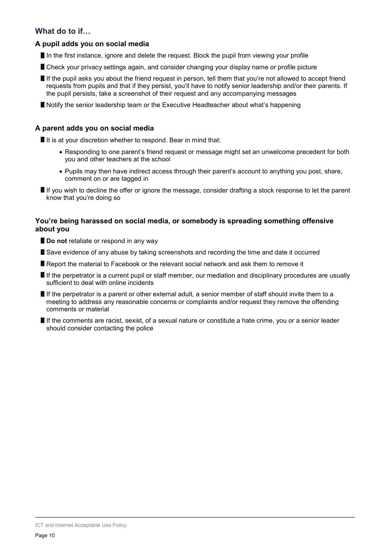## **What do to if…**

#### **A pupil adds you on social media**

- In the first instance, ignore and delete the request. Block the pupil from viewing your profile
- **Check your privacy settings again, and consider changing your display name or profile picture**
- If the pupil asks you about the friend request in person, tell them that you're not allowed to accept friend requests from pupils and that if they persist, you'll have to notify senior leadership and/or their parents. If the pupil persists, take a screenshot of their request and any accompanying messages
- **Notify the senior leadership team or the Executive Headteacher about what's happening**

#### **A parent adds you on social media**

If it is at your discretion whether to respond. Bear in mind that:

- Responding to one parent's friend request or message might set an unwelcome precedent for both you and other teachers at the school
- Pupils may then have indirect access through their parent's account to anything you post, share, comment on or are tagged in
- If you wish to decline the offer or ignore the message, consider drafting a stock response to let the parent know that you're doing so

#### **You're being harassed on social media, or somebody is spreading something offensive about you**

- **Do not** retaliate or respond in any way
- Save evidence of any abuse by taking screenshots and recording the time and date it occurred
- **Report the material to Facebook or the relevant social network and ask them to remove it**
- If the perpetrator is a current pupil or staff member, our mediation and disciplinary procedures are usually sufficient to deal with online incidents
- If the perpetrator is a parent or other external adult, a senior member of staff should invite them to a meeting to address any reasonable concerns or complaints and/or request they remove the offending comments or material
- If the comments are racist, sexist, of a sexual nature or constitute a hate crime, you or a senior leader should consider contacting the police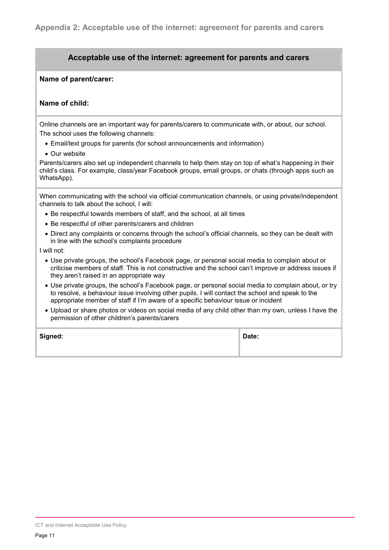#### <span id="page-10-0"></span>**Acceptable use of the internet: agreement for parents and carers**

#### **Name of parent/carer:**

#### **Name of child:**

Online channels are an important way for parents/carers to communicate with, or about, our school. The school uses the following channels:

- Email/text groups for parents (for school announcements and information)
- Our website

Parents/carers also set up independent channels to help them stay on top of what's happening in their child's class. For example, class/year Facebook groups, email groups, or chats (through apps such as WhatsApp).

When communicating with the school via official communication channels, or using private/independent channels to talk about the school, I will:

- Be respectful towards members of staff, and the school, at all times
- Be respectful of other parents/carers and children
- Direct any complaints or concerns through the school's official channels, so they can be dealt with in line with the school's complaints procedure

I will not:

- Use private groups, the school's Facebook page, or personal social media to complain about or criticise members of staff. This is not constructive and the school can't improve or address issues if they aren't raised in an appropriate way
- Use private groups, the school's Facebook page, or personal social media to complain about, or try to resolve, a behaviour issue involving other pupils. I will contact the school and speak to the appropriate member of staff if I'm aware of a specific behaviour issue or incident
- Upload or share photos or videos on social media of any child other than my own, unless I have the permission of other children's parents/carers

| Signed: | Date: |
|---------|-------|
|         |       |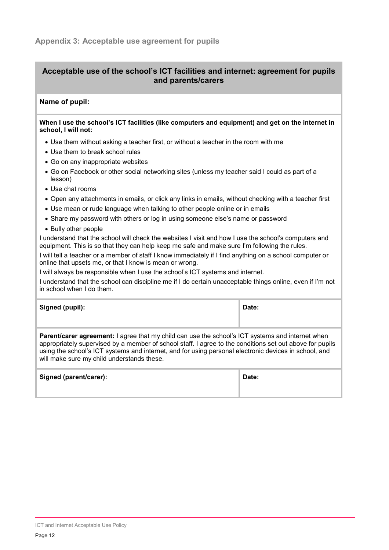## <span id="page-11-0"></span>**Acceptable use of the school's ICT facilities and internet: agreement for pupils and parents/carers**

#### **Name of pupil:**

#### **When I use the school's ICT facilities (like computers and equipment) and get on the internet in school, I will not:**

- Use them without asking a teacher first, or without a teacher in the room with me
- Use them to break school rules
- Go on any inappropriate websites
- Go on Facebook or other social networking sites (unless my teacher said I could as part of a lesson)
- Use chat rooms
- Open any attachments in emails, or click any links in emails, without checking with a teacher first
- Use mean or rude language when talking to other people online or in emails
- Share my password with others or log in using someone else's name or password
- Bully other people

I understand that the school will check the websites I visit and how I use the school's computers and equipment. This is so that they can help keep me safe and make sure I'm following the rules.

I will tell a teacher or a member of staff I know immediately if I find anything on a school computer or online that upsets me, or that I know is mean or wrong.

I will always be responsible when I use the school's ICT systems and internet.

I understand that the school can discipline me if I do certain unacceptable things online, even if I'm not in school when I do them.

| Signed (pupil): | Date: |
|-----------------|-------|
|                 |       |

**Parent/carer agreement:** I agree that my child can use the school's ICT systems and internet when appropriately supervised by a member of school staff. I agree to the conditions set out above for pupils using the school's ICT systems and internet, and for using personal electronic devices in school, and will make sure my child understands these.

| Signed (parent/carer): | Date: |
|------------------------|-------|
|                        |       |